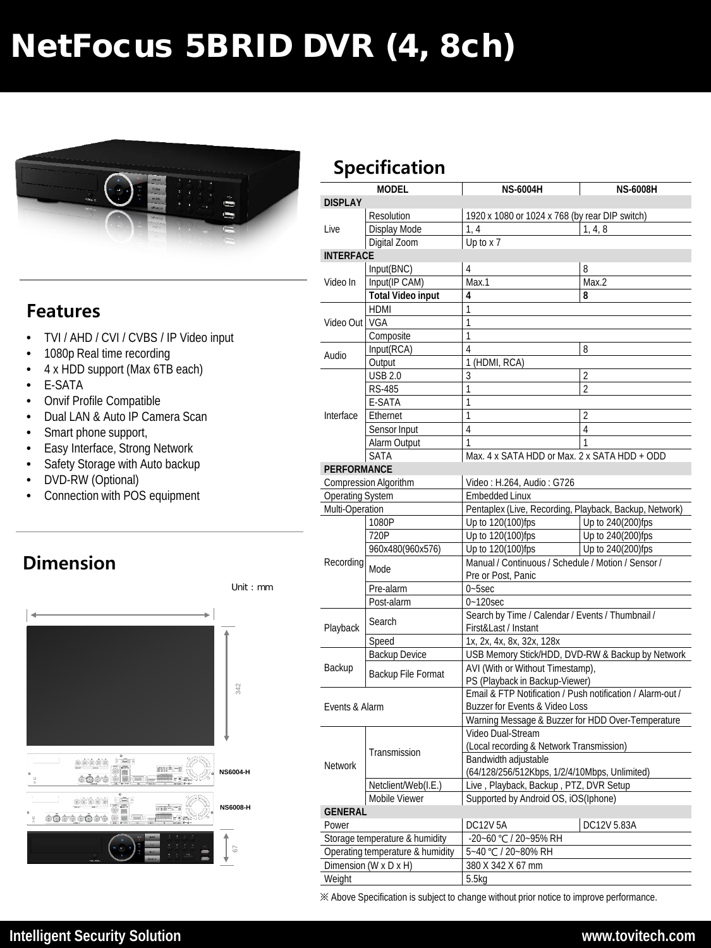# NetFocus 5BRID DVR (4, 8ch)



#### **Features**

- TVI / AHD / CVI / CVBS / IP Video input
- 1080p Real time recording
- 4 x HDD support (Max 6TB each)
- E-SATA
- Onvif Profile Compatible
- Dual LAN & Auto IP Camera Scan
- Smart phone support,
- **Easy Interface, Strong Network**
- Safety Storage with Auto backup
- DVD-RW (Optional)
- Connection with POS equipment

## **Dimension**



# **Specification**

|                         | <b>MODEL</b>                     | <b>NS-6004H</b>                                            | <b>NS-6008H</b>                                  |  |  |  |
|-------------------------|----------------------------------|------------------------------------------------------------|--------------------------------------------------|--|--|--|
| <b>DISPLAY</b>          |                                  |                                                            |                                                  |  |  |  |
| Live                    | Resolution                       | 1920 x 1080 or 1024 x 768 (by rear DIP switch)             |                                                  |  |  |  |
|                         | Display Mode                     | 1, 4, 8<br>1, 4                                            |                                                  |  |  |  |
|                         | Digital Zoom                     | Up to x 7                                                  |                                                  |  |  |  |
| <b>INTERFACE</b>        |                                  |                                                            |                                                  |  |  |  |
|                         | Input(BNC)                       | 4                                                          | 8                                                |  |  |  |
| Video In                | Input(IP CAM)                    | Max.1                                                      | Max.2                                            |  |  |  |
|                         | <b>Total Video input</b>         | 4                                                          | 8                                                |  |  |  |
|                         | <b>HDMI</b>                      | 1                                                          |                                                  |  |  |  |
| Video Out   VGA         |                                  | $\mathbf{1}$                                               |                                                  |  |  |  |
|                         | Composite                        | 1                                                          |                                                  |  |  |  |
| Audio                   | Input(RCA)                       | 4                                                          | 8                                                |  |  |  |
|                         | Output                           | 1 (HDMI, RCA)                                              |                                                  |  |  |  |
|                         | <b>USB 2.0</b>                   | 3                                                          | $\overline{2}$                                   |  |  |  |
|                         | <b>RS-485</b>                    | 1                                                          | $\overline{2}$                                   |  |  |  |
|                         | E-SATA                           | $\mathbf{1}$                                               |                                                  |  |  |  |
| Interface               | Ethernet                         | $\mathbf{1}$                                               | 2                                                |  |  |  |
|                         | Sensor Input                     | 4                                                          | 4                                                |  |  |  |
|                         | Alarm Output                     | 1                                                          | 1                                                |  |  |  |
|                         | <b>SATA</b>                      | Max. 4 x SATA HDD or Max. 2 x SATA HDD + ODD               |                                                  |  |  |  |
| <b>PERFORMANCE</b>      |                                  |                                                            |                                                  |  |  |  |
|                         | <b>Compression Algorithm</b>     | Video: H.264, Audio: G726                                  |                                                  |  |  |  |
| <b>Operating System</b> |                                  | <b>Embedded Linux</b>                                      |                                                  |  |  |  |
| Multi-Operation         |                                  | Pentaplex (Live, Recording, Playback, Backup, Network)     |                                                  |  |  |  |
|                         | 1080P                            | Up to 120(100)fps                                          | Up to 240(200)fps                                |  |  |  |
|                         | 720P                             | Up to 120(100)fps                                          | Up to 240(200)fps                                |  |  |  |
|                         | 960x480(960x576)                 | Up to 120(100)fps<br>Up to 240(200)fps                     |                                                  |  |  |  |
| Recording               | Mode                             | Manual / Continuous / Schedule / Motion / Sensor /         |                                                  |  |  |  |
|                         |                                  | Pre or Post, Panic                                         |                                                  |  |  |  |
|                         | Pre-alarm                        | $0 - 5$ sec                                                |                                                  |  |  |  |
|                         | Post-alarm                       | $0 - 120$ sec                                              |                                                  |  |  |  |
| Playback                | Search                           | First&Last / Instant                                       | Search by Time / Calendar / Events / Thumbnail / |  |  |  |
|                         | Speed                            | 1x, 2x, 4x, 8x, 32x, 128x                                  |                                                  |  |  |  |
|                         | <b>Backup Device</b>             | USB Memory Stick/HDD, DVD-RW & Backup by Network           |                                                  |  |  |  |
| Backup                  | Backup File Format               | AVI (With or Without Timestamp),                           |                                                  |  |  |  |
|                         |                                  | PS (Playback in Backup-Viewer)                             |                                                  |  |  |  |
| Events & Alarm          |                                  | Email & FTP Notification / Push notification / Alarm-out / |                                                  |  |  |  |
|                         |                                  | Buzzer for Events & Video Loss                             |                                                  |  |  |  |
|                         |                                  | Warning Message & Buzzer for HDD Over-Temperature          |                                                  |  |  |  |
|                         |                                  | Video Dual-Stream                                          |                                                  |  |  |  |
|                         | Transmission                     | (Local recording & Network Transmission)                   |                                                  |  |  |  |
| Network                 |                                  | Bandwidth adjustable                                       |                                                  |  |  |  |
|                         |                                  | (64/128/256/512Kbps, 1/2/4/10Mbps, Unlimited)              |                                                  |  |  |  |
|                         | Netclient/Web(I.E.)              | Live, Playback, Backup, PTZ, DVR Setup                     |                                                  |  |  |  |
| <b>GENERAL</b>          | Mobile Viewer                    | Supported by Android OS, iOS(Iphone)                       |                                                  |  |  |  |
|                         |                                  |                                                            |                                                  |  |  |  |
| Power                   |                                  | <b>DC12V 5A</b>                                            | DC12V 5.83A                                      |  |  |  |
|                         | Storage temperature & humidity   | -20~60 °C / 20~95% RH                                      |                                                  |  |  |  |
|                         | Operating temperature & humidity | 5~40 °C / 20~80% RH                                        |                                                  |  |  |  |
| Weight                  | Dimension (W x D x H)            | 380 X 342 X 67 mm                                          |                                                  |  |  |  |
|                         |                                  | 5.5kg                                                      |                                                  |  |  |  |

※ Above Specification is subject to change without prior notice to improve performance.